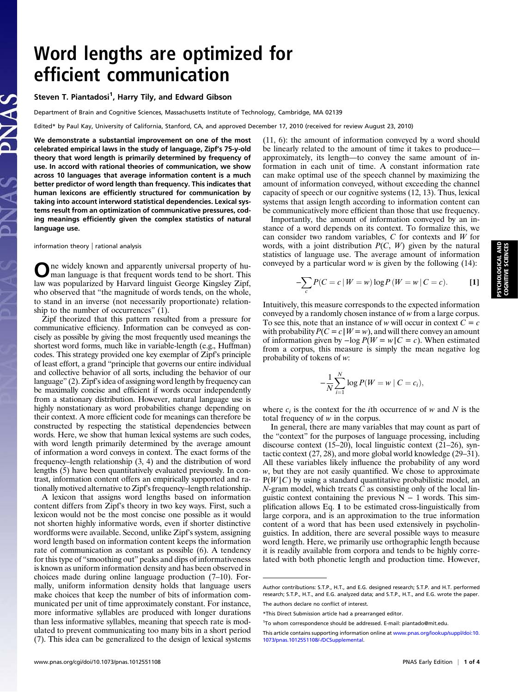# Word lengths are optimized for efficient communication

# Steven T. Piantadosi<sup>1</sup>, Harry Tily, and Edward Gibson

Department of Brain and Cognitive Sciences, Massachusetts Institute of Technology, Cambridge, MA 02139

Edited\* by Paul Kay, University of California, Stanford, CA, and approved December 17, 2010 (received for review August 23, 2010)

We demonstrate a substantial improvement on one of the most celebrated empirical laws in the study of language, Zipf's 75-y-old theory that word length is primarily determined by frequency of use. In accord with rational theories of communication, we show across 10 languages that average information content is a much better predictor of word length than frequency. This indicates that human lexicons are efficiently structured for communication by taking into account interword statistical dependencies. Lexical systems result from an optimization of communicative pressures, coding meanings efficiently given the complex statistics of natural language use.

information theory | rational analysis

ne widely known and apparently universal property of human language is that frequent words tend to be short. This law was popularized by Harvard linguist George Kingsley Zipf, who observed that "the magnitude of words tends, on the whole, to stand in an inverse (not necessarily proportionate) relationship to the number of occurrences" (1).

Zipf theorized that this pattern resulted from a pressure for communicative efficiency. Information can be conveyed as concisely as possible by giving the most frequently used meanings the shortest word forms, much like in variable-length (e.g., Huffman) codes. This strategy provided one key exemplar of Zipf's principle of least effort, a grand "principle that governs our entire individual and collective behavior of all sorts, including the behavior of our language" (2). Zipf's idea of assigning word length by frequency can be maximally concise and efficient if words occur independently from a stationary distribution. However, natural language use is highly nonstationary as word probabilities change depending on their context. A more efficient code for meanings can therefore be constructed by respecting the statistical dependencies between words. Here, we show that human lexical systems are such codes, with word length primarily determined by the average amount of information a word conveys in context. The exact forms of the frequency–length relationship (3, 4) and the distribution of word lengths (5) have been quantitatively evaluated previously. In contrast, information content offers an empirically supported and rationally motived alternative to Zipf's frequency–length relationship.

A lexicon that assigns word lengths based on information content differs from Zipf's theory in two key ways. First, such a lexicon would not be the most concise one possible as it would not shorten highly informative words, even if shorter distinctive wordforms were available. Second, unlike Zipf's system, assigning word length based on information content keeps the information rate of communication as constant as possible (6). A tendency for this type of "smoothing out" peaks and dips of informativeness is known as uniform information density and has been observed in choices made during online language production (7–10). Formally, uniform information density holds that language users make choices that keep the number of bits of information communicated per unit of time approximately constant. For instance, more informative syllables are produced with longer durations than less informative syllables, meaning that speech rate is modulated to prevent communicating too many bits in a short period (7). This idea can be generalized to the design of lexical systems (11, 6): the amount of information conveyed by a word should be linearly related to the amount of time it takes to produce approximately, its length—to convey the same amount of information in each unit of time. A constant information rate can make optimal use of the speech channel by maximizing the amount of information conveyed, without exceeding the channel capacity of speech or our cognitive systems (12, 13). Thus, lexical systems that assign length according to information content can be communicatively more efficient than those that use frequency.

Importantly, the amount of information conveyed by an instance of a word depends on its context. To formalize this, we can consider two random variables,  $C$  for contexts and  $W$  for words, with a joint distribution  $P(C, W)$  given by the natural statistics of language use. The average amount of information conveyed by a particular word  $w$  is given by the following  $(14)$ :

$$
-\sum_{c} P(C = c | W = w) \log P(W = w | C = c).
$$
 [1]

Intuitively, this measure corresponds to the expected information conveyed by a randomly chosen instance of w from a large corpus. To see this, note that an instance of w will occur in context  $C = c$ with probability  $P(C = c | W = w)$ , and will there convey an amount of information given by  $-\log P(W = w|C = c)$ . When estimated from a corpus, this measure is simply the mean negative log probability of tokens of w:

$$
-\frac{1}{N}\sum_{i=1}^N \log P(W = w \mid C = c_i),
$$

where  $c_i$  is the context for the *i*th occurrence of w and N is the total frequency of w in the corpus.

In general, there are many variables that may count as part of the "context" for the purposes of language processing, including discourse context (15–20), local linguistic context (21–26), syntactic context (27, 28), and more global world knowledge (29–31). All these variables likely influence the probability of any word  $w$ , but they are not easily quantified. We chose to approximate  $P(W|C)$  by using a standard quantitative probabilistic model, an  $N$ -gram model, which treats  $C$  as consisting only of the local linguistic context containing the previous  $N - 1$  words. This simplification allows Eq. 1 to be estimated cross-linguistically from large corpora, and is an approximation to the true information content of a word that has been used extensively in psycholinguistics. In addition, there are several possible ways to measure word length. Here, we primarily use orthographic length because it is readily available from corpora and tends to be highly correlated with both phonetic length and production time. However,

Author contributions: S.T.P., H.T., and E.G. designed research; S.T.P. and H.T. performed research; S.T.P., H.T., and E.G. analyzed data; and S.T.P., H.T., and E.G. wrote the paper. The authors declare no conflict of interest

<sup>\*</sup>This Direct Submission article had a prearranged editor.

<sup>&</sup>lt;sup>1</sup>To whom correspondence should be addressed. E-mail: [piantado@mit.edu](mailto:piantado@mit.edu).

This article contains supporting information online at [www.pnas.org/lookup/suppl/doi:10.](http://www.pnas.org/lookup/suppl/doi:10.1073/pnas.1012551108/-/DCSupplemental) [1073/pnas.1012551108/-/DCSupplemental](http://www.pnas.org/lookup/suppl/doi:10.1073/pnas.1012551108/-/DCSupplemental).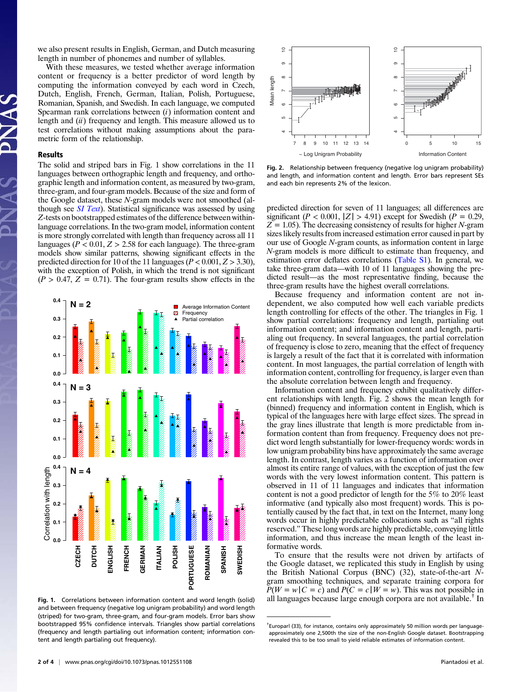we also present results in English, German, and Dutch measuring length in number of phonemes and number of syllables.

With these measures, we tested whether average information content or frequency is a better predictor of word length by computing the information conveyed by each word in Czech, Dutch, English, French, German, Italian, Polish, Portuguese, Romanian, Spanish, and Swedish. In each language, we computed Spearman rank correlations between  $(i)$  information content and length and  $(ii)$  frequency and length. This measure allowed us to test correlations without making assumptions about the parametric form of the relationship.

## Results

The solid and striped bars in Fig. 1 show correlations in the 11 languages between orthographic length and frequency, and orthographic length and information content, as measured by two-gram, three-gram, and four-gram models. Because of the size and form of the Google dataset, these N-gram models were not smoothed (although see *[SI Text](http://www.pnas.org/lookup/suppl/doi:10.1073/pnas.1012551108/-/DCSupplemental/pnas.201012551SI.pdf?targetid=nameddest=STXT)*). Statistical significance was assessed by using Z-tests on bootstrapped estimates of the difference between withinlanguage correlations. In the two-gram model, information content is more strongly correlated with length than frequency across all 11 languages ( $P < 0.01$ ,  $Z > 2.58$  for each language). The three-gram models show similar patterns, showing significant effects in the predicted direction for 10 of the 11 languages ( $P < 0.001, Z > 3.30$ ), with the exception of Polish, in which the trend is not significant  $(P > 0.47, Z = 0.71)$ . The four-gram results show effects in the



Fig. 1. Correlations between information content and word length (solid) and between frequency (negative log unigram probability) and word length (striped) for two-gram, three-gram, and four-gram models. Error bars show bootstrapped 95% confidence intervals. Triangles show partial correlations (frequency and length partialing out information content; information content and length partialing out frequency).



Fig. 2. Relationship between frequency (negative log unigram probability) and length, and information content and length. Error bars represent SEs and each bin represents 2% of the lexicon.

predicted direction for seven of 11 languages; all differences are significant ( $P < 0.001$ ,  $|Z| > 4.91$ ) except for Swedish ( $P = 0.29$ ,  $Z = 1.05$ ). The decreasing consistency of results for higher N-gram sizes likely results from increased estimation error caused in part by our use of Google N-gram counts, as information content in large N-gram models is more difficult to estimate than frequency, and estimation error deflates correlations [\(Table S1\)](http://www.pnas.org/lookup/suppl/doi:10.1073/pnas.1012551108/-/DCSupplemental/pnas.201012551SI.pdf?targetid=nameddest=ST1). In general, we take three-gram data—with 10 of 11 languages showing the predicted result—as the most representative finding, because the three-gram results have the highest overall correlations.

Because frequency and information content are not independent, we also computed how well each variable predicts length controlling for effects of the other. The triangles in Fig. 1 show partial correlations: frequency and length, partialing out information content; and information content and length, partialing out frequency. In several languages, the partial correlation of frequency is close to zero, meaning that the effect of frequency is largely a result of the fact that it is correlated with information content. In most languages, the partial correlation of length with information content, controlling for frequency, is larger even than the absolute correlation between length and frequency.

Information content and frequency exhibit qualitatively different relationships with length. Fig. 2 shows the mean length for (binned) frequency and information content in English, which is typical of the languages here with large effect sizes. The spread in the gray lines illustrate that length is more predictable from information content than from frequency. Frequency does not predict word length substantially for lower-frequency words: words in low unigram probability bins have approximately the same average length. In contrast, length varies as a function of information over almost its entire range of values, with the exception of just the few words with the very lowest information content. This pattern is observed in 11 of 11 languages and indicates that information content is not a good predictor of length for the 5% to 20% least informative (and typically also most frequent) words. This is potentially caused by the fact that, in text on the Internet, many long words occur in highly predictable collocations such as "all rights reserved." These long words are highly predictable, conveying little information, and thus increase the mean length of the least informative words.

To ensure that the results were not driven by artifacts of the Google dataset, we replicated this study in English by using the British National Corpus (BNC) (32), state-of-the-art Ngram smoothing techniques, and separate training corpora for  $P(W = w | C = c)$  and  $P(C = c | W = w)$ . This was not possible in all languages because large enough corpora are not available.† In

<sup>†</sup> Europarl (33), for instance, contains only approximately 50 million words per languageapproximately one 2,500th the size of the non-English Google dataset. Bootstrapping revealed this to be too small to yield reliable estimates of information content.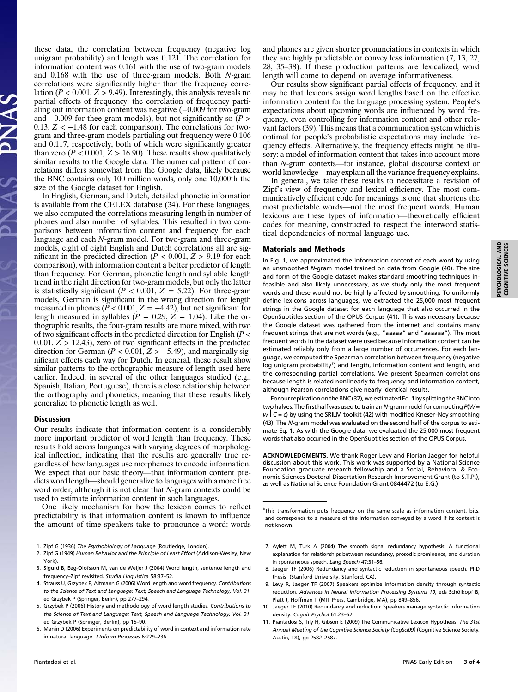these data, the correlation between frequency (negative log unigram probability) and length was 0.121. The correlation for information content was 0.161 with the use of two-gram models and 0.168 with the use of three-gram models. Both N-gram correlations were significantly higher than the frequency correlation ( $P < 0.001, Z > 9.49$ ). Interestingly, this analysis reveals no partial effects of frequency: the correlation of frequency partialing out information content was negative (−0.009 for two-gram and  $-0.009$  for thee-gram models), but not significantly so ( $P >$ 0.13,  $Z < -1.48$  for each comparison). The correlations for twogram and three-gram models partialing out frequency were 0.106 and 0.117, respectively, both of which were significantly greater than zero ( $P < 0.001, Z > 16.90$ ). These results show qualitatively similar results to the Google data. The numerical pattern of correlations differs somewhat from the Google data, likely because the BNC contains only 100 million words, only one 10,000th the size of the Google dataset for English.

In English, German, and Dutch, detailed phonetic information is available from the CELEX database (34). For these languages, we also computed the correlations measuring length in number of phones and also number of syllables. This resulted in two comparisons between information content and frequency for each language and each N-gram model. For two-gram and three-gram models, eight of eight English and Dutch correlations all are significant in the predicted direction ( $P < 0.001$ ,  $Z > 9.19$  for each comparison), with information content a better predictor of length than frequency. For German, phonetic length and syllable length trend in the right direction for two-gram models, but only the latter is statistically significant ( $P < 0.001$ ,  $Z = 5.22$ ). For three-gram models, German is significant in the wrong direction for length measured in phones ( $P < 0.001$ ,  $Z = -4.42$ ), but not significant for length measured in syllables ( $P = 0.29$ ,  $\dot{Z} = 1.04$ ). Like the orthographic results, the four-gram results are more mixed, with two of two significant effects in the predicted direction for English ( $P <$  $0.001, Z > 12.43$ , zero of two significant effects in the predicted direction for German ( $P < 0.001$ ,  $Z > -5.49$ ), and marginally significant effects each way for Dutch. In general, these result show similar patterns to the orthographic measure of length used here earlier. Indeed, in several of the other languages studied (e.g., Spanish, Italian, Portuguese), there is a close relationship between the orthography and phonetics, meaning that these results likely generalize to phonetic length as well.

### Discussion

Our results indicate that information content is a considerably more important predictor of word length than frequency. These results hold across languages with varying degrees of morphological inflection, indicating that the results are generally true regardless of how languages use morphemes to encode information. We expect that our basic theory—that information content predicts word length—should generalize to languages with a more free word order, although it is not clear that N-gram contexts could be used to estimate information content in such languages.

One likely mechanism for how the lexicon comes to reflect predictability is that information content is known to influence the amount of time speakers take to pronounce a word: words

- 1. Zipf G (1936) The Psychobiology of Language (Routledge, London).
- 2. Zipf G (1949) Human Behavior and the Principle of Least Effort (Addison-Wesley, New York).
- 3. Sigurd B, Eeg-Olofsson M, van de Weijer J (2004) Word length, sentence length and frequency–Zipf revisited. Studia Linguistica 58:37–52.
- 4. Strauss U, Grzybek P, Altmann G (2006) Word length and word frequency. Contributions to the Science of Text and Language: Text, Speech and Language Technology, Vol. 31, ed Grzybek P (Springer, Berlin), pp 277–294.
- 5. Grzybek P (2006) History and methodology of word length studies. Contributions to the Science of Text and Language: Text, Speech and Language Technology, Vol. 31, ed Grzybek P (Springer, Berlin), pp 15–90.
- 6. Manin D (2006) Experiments on predictability of word in context and information rate in natural language. J Inform Processes 6:229–236.

and phones are given shorter pronunciations in contexts in which they are highly predictable or convey less information (7, 13, 27, 28, 35–38). If these production patterns are lexicalized, word length will come to depend on average informativeness.

Our results show significant partial effects of frequency, and it may be that lexicons assign word lengths based on the effective information content for the language processing system. People's expectations about upcoming words are influenced by word frequency, even controlling for information content and other relevant factors (39). This means that a communication system which is optimal for people's probabilistic expectations may include frequency effects. Alternatively, the frequency effects might be illusory: a model of information content that takes into account more than N-gram contexts—for instance, global discourse context or world knowledge—may explain all the variance frequency explains.

In general, we take these results to necessitate a revision of Zipf's view of frequency and lexical efficiency. The most communicatively efficient code for meanings is one that shortens the most predictable words—not the most frequent words. Human lexicons are these types of information—theoretically efficient codes for meaning, constructed to respect the interword statistical dependencies of normal language use.

#### Materials and Methods

In Fig. 1, we approximated the information content of each word by using an unsmoothed N-gram model trained on data from Google (40). The size and form of the Google dataset makes standard smoothing techniques infeasible and also likely unnecessary, as we study only the most frequent words and these would not be highly affected by smoothing. To uniformly define lexicons across languages, we extracted the 25,000 most frequent strings in the Google dataset for each language that also occurred in the OpenSubtitles section of the OPUS Corpus (41). This was necessary because the Google dataset was gathered from the internet and contains many frequent strings that are not words (e.g., "aaaaa" and "aaaaaa"). The most frequent words in the dataset were used because information content can be estimated reliably only from a large number of occurrences. For each language, we computed the Spearman correlation between frequency (negative log unigram probability<sup>‡</sup>) and length, information content and length, and the corresponding partial correlations. We present Spearman correlations because length is related nonlinearly to frequency and information content, although Pearson correlations give nearly identical results.

For our replication on the BNC (32), we estimated Eq. 1 by splitting the BNC into two halves. The first half was used to train an N-gram model for computing  $P(W=$  $w \mid C = c$ ) by using the SRILM toolkit (42) with modified Kneser–Ney smoothing (43). The N-gram model was evaluated on the second half of the corpus to estimate Eq. 1. As with the Google data, we evaluated the 25,000 most frequent words that also occurred in the OpenSubtitles section of the OPUS Corpus.

ACKNOWLEDGMENTS. We thank Roger Levy and Florian Jaeger for helpful discussion about this work. This work was supported by a National Science Foundation graduate research fellowship and a Social, Behavioral & Economic Sciences Doctoral Dissertation Research Improvement Grant (to S.T.P.), as well as National Science Foundation Grant 0844472 (to E.G.).

‡ This transformation puts frequency on the same scale as information content, bits, and corresponds to a measure of the information conveyed by a word if its context is not known.

- 7. Aylett M, Turk A (2004) The smooth signal redundancy hypothesis: A functional explanation for relationships between redundancy, prosodic prominence, and duration in spontaneous speech. Lang Speech 47:31–56.
- 8. Jaeger TF (2006) Redundancy and syntactic reduction in spontaneous speech. PhD thesis (Stanford University, Stanford, CA).
- 9. Levy R, Jaeger TF (2007) Speakers optimize information density through syntactic reduction. Advances in Neural Information Processing Systems 19, eds Schölkopf B, Platt J, Hoffman T (MIT Press, Cambridge, MA), pp 849–856.
- 10. Jaeger TF (2010) Redundancy and reduction: Speakers manage syntactic information density. Cognit Psychol 61:23–62.
- 11. Piantadosi S, Tily H, Gibson E (2009) The Communicative Lexicon Hypothesis. The 31st Annual Meeting of the Cognitive Science Society (CogSci09) (Cognitive Science Society, Austin, TX), pp 2582–2587.